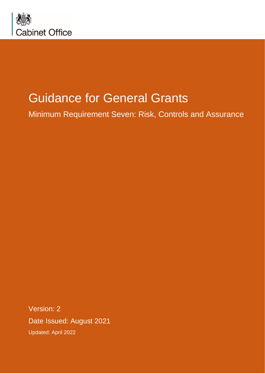

# Guidance for General Grants

Minimum Requirement Seven: Risk, Controls and Assurance

Version: 2 Date Issued: August 2021 Updated: April 2022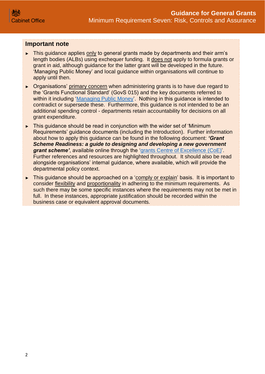#### **Important note**

- ► This guidance applies only to general grants made by departments and their arm's length bodies (ALBs) using exchequer funding. It does not apply to formula grants or grant in aid, although guidance for the latter grant will be developed in the future. 'Managing Public Money' and local guidance within organisations will continue to apply until then.
- ► Organisations' primary concern when administering grants is to have due regard to the 'Grants Functional Standard' (GovS 015) and the key documents referred to within it including ['Managing Public Money'](https://www.gov.uk/government/publications/managing-public-money). Nothing in this guidance is intended to contradict or supersede these. Furthermore, this guidance is not intended to be an additional spending control - departments retain accountability for decisions on all grant expenditure.
- ► This guidance should be read in conjunction with the wider set of 'Minimum Requirements' guidance documents (including the Introduction). Further information about how to apply this guidance can be found in the following document: *'Grant Scheme Readiness: a guide to designing and developing a new government grant scheme'*, available online through the ['grants Centre of Excellence \(CoE\)'](https://gcoe.civilservice.gov.uk/). Further references and resources are highlighted throughout. It should also be read alongside organisations' internal guidance, where available, which will provide the departmental policy context.
- ► This guidance should be approached on a 'comply or explain' basis. It is important to consider flexibility and proportionality in adhering to the minimum requirements. As such there may be some specific instances where the requirements may not be met in full. In these instances, appropriate justification should be recorded within the business case or equivalent approval documents.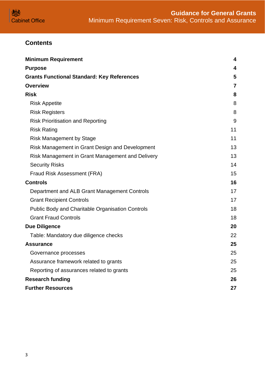

# **Contents**

| <b>Minimum Requirement</b>                              | 4  |
|---------------------------------------------------------|----|
| <b>Purpose</b>                                          | 4  |
| <b>Grants Functional Standard: Key References</b>       | 5  |
| <b>Overview</b>                                         | 7  |
| <b>Risk</b>                                             | 8  |
| <b>Risk Appetite</b>                                    | 8  |
| <b>Risk Registers</b>                                   | 8  |
| <b>Risk Prioritisation and Reporting</b>                | 9  |
| <b>Risk Rating</b>                                      | 11 |
| <b>Risk Management by Stage</b>                         | 11 |
| Risk Management in Grant Design and Development         | 13 |
| Risk Management in Grant Management and Delivery        | 13 |
| <b>Security Risks</b>                                   | 14 |
| Fraud Risk Assessment (FRA)                             | 15 |
| <b>Controls</b>                                         | 16 |
| Department and ALB Grant Management Controls            | 17 |
| <b>Grant Recipient Controls</b>                         | 17 |
| <b>Public Body and Charitable Organisation Controls</b> | 18 |
| <b>Grant Fraud Controls</b>                             | 18 |
| <b>Due Diligence</b>                                    | 20 |
| Table: Mandatory due diligence checks                   | 22 |
| <b>Assurance</b>                                        | 25 |
| Governance processes                                    | 25 |
| Assurance framework related to grants                   | 25 |
| Reporting of assurances related to grants               | 25 |
| <b>Research funding</b>                                 | 26 |
| <b>Further Resources</b>                                | 27 |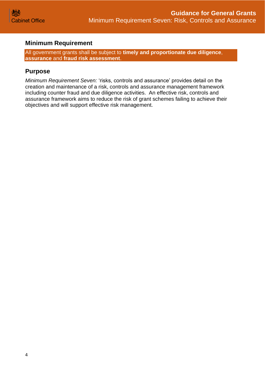## <span id="page-3-0"></span>**Minimum Requirement**

All government grants shall be subject to **timely and proportionate due diligence**, **assurance** and **fraud risk assessment**.

## <span id="page-3-1"></span>**Purpose**

*Minimum Requirement Seven:* 'risks, controls and assurance' provides detail on the creation and maintenance of a risk, controls and assurance management framework including counter fraud and due diligence activities. An effective risk, controls and assurance framework aims to reduce the risk of grant schemes failing to achieve their objectives and will support effective risk management.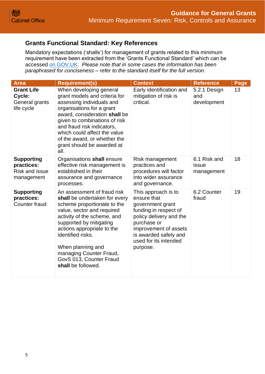## <span id="page-4-0"></span>**Grants Functional Standard: Key References**

Mandatory expectations ('shalls') for management of grants related to this minimum requirement have been extracted from the 'Grants Functional Standard' which can be accessed [on GOV.UK.](https://www.gov.uk/government/publications/grants-standards/grant-standards) *Please note that in some cases the information has been paraphrased for conciseness – refer to the standard itself for the full version.*

| <b>Area</b>                                                            | <b>Requirement(s)</b>                                                                                                                                                                                                                                                                                                                   | <b>Context</b>                                                                                                                                                                                                   | <b>Reference</b>                    | Page |
|------------------------------------------------------------------------|-----------------------------------------------------------------------------------------------------------------------------------------------------------------------------------------------------------------------------------------------------------------------------------------------------------------------------------------|------------------------------------------------------------------------------------------------------------------------------------------------------------------------------------------------------------------|-------------------------------------|------|
| <b>Grant Life</b><br>Cycle:<br>General grants<br>life cycle            | When developing general<br>grant models and criteria for<br>assessing individuals and<br>organisations for a grant<br>award, consideration shall be<br>given to combinations of risk<br>and fraud risk indicators,<br>which could affect the value<br>of the award, or whether the<br>grant should be awarded at<br>all.                | Early identification and<br>mitigation of risk is<br>critical.                                                                                                                                                   | 5.2.1 Design<br>and<br>development  | 13   |
| <b>Supporting</b><br>practices:<br><b>Risk and issue</b><br>management | Organisations shall ensure<br>effective risk management is<br>established in their<br>assurance and governance<br>processes.                                                                                                                                                                                                            | Risk management<br>practices and<br>procedures will factor<br>into wider assurance<br>and governance.                                                                                                            | 6.1 Risk and<br>issue<br>management | 18   |
| <b>Supporting</b><br>practices:<br>Counter fraud                       | An assessment of fraud risk<br>shall be undertaken for every<br>scheme proportionate to the<br>value, sector and required<br>activity of the scheme, and<br>supported by mitigating<br>actions appropriate to the<br>identified risks.<br>When planning and<br>managing Counter Fraud,<br>GovS 013, Counter Fraud<br>shall be followed. | This approach is to<br>ensure that<br>government grant<br>funding in respect of<br>policy delivery and the<br>purchase or<br>improvement of assets<br>is awarded safely and<br>used for its intended<br>purpose. | 6.2 Counter<br>fraud                | 19   |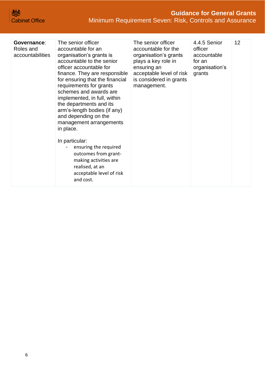| Governance:<br>Roles and<br>accountabilities | The senior officer<br>accountable for an<br>organisation's grants is<br>accountable to the senior<br>officer accountable for<br>finance. They are responsible<br>for ensuring that the financial<br>requirements for grants<br>schemes and awards are<br>implemented, in full, within<br>the departments and its<br>arm's-length bodies (if any)<br>and depending on the<br>management arrangements<br>in place. | The senior officer<br>accountable for the<br>organisation's grants<br>plays a key role in<br>ensuring an<br>acceptable level of risk<br>is considered in grants<br>management. | 4.4.5 Senior<br>officer<br>accountable<br>for an<br>organisation's<br>grants | 12 |
|----------------------------------------------|------------------------------------------------------------------------------------------------------------------------------------------------------------------------------------------------------------------------------------------------------------------------------------------------------------------------------------------------------------------------------------------------------------------|--------------------------------------------------------------------------------------------------------------------------------------------------------------------------------|------------------------------------------------------------------------------|----|
|                                              | In particular:<br>ensuring the required<br>outcomes from grant-<br>making activities are<br>realised, at an<br>acceptable level of risk<br>and cost.                                                                                                                                                                                                                                                             |                                                                                                                                                                                |                                                                              |    |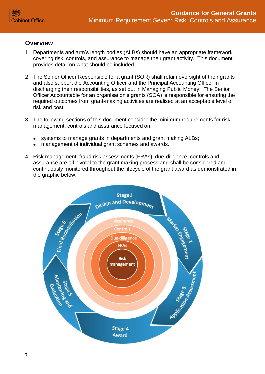## <span id="page-6-0"></span>**Overview**

- 1. Departments and arm's length bodies (ALBs) should have an appropriate framework covering risk, controls, and assurance to manage their grant activity. This document provides detail on what should be included.
- 2. The Senior Officer Responsible for a grant (SOR) shall retain oversight of their grants and also support the Accounting Officer and the Principal Accounting Officer in discharging their responsibilities, as set out in Managing Public Money. The Senior Officer Accountable for an organisation's grants (SOA) is responsible for ensuring the required outcomes from grant-making activities are realised at an acceptable level of risk and cost.
- 3. The following sections of this document consider the minimum requirements for risk management, controls and assurance focused on:
	- systems to manage grants in departments and grant making ALBs;
	- management of individual grant schemes and awards.
- 4. Risk management, fraud risk assessments (FRAs), due-diligence, controls and assurance are all pivotal to the grant making process and shall be considered and continuously monitored throughout the lifecycle of the grant award as demonstrated in the graphic below:

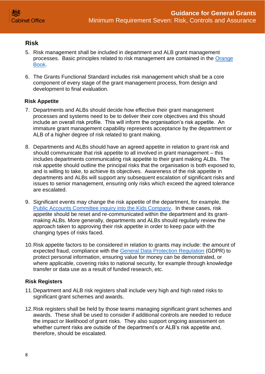## <span id="page-7-0"></span>**Risk**

- 5. Risk management shall be included in department and ALB grant management processes. Basic principles related to risk management are contained in the [Orange](https://www.gov.uk/government/publications/orange-book)  [Book.](https://www.gov.uk/government/publications/orange-book)
- 6. The Grants Functional Standard includes risk management which shall be a core component of every stage of the grant management process, from design and development to final evaluation.

#### <span id="page-7-1"></span>**Risk Appetite**

- 7. Departments and ALBs should decide how effective their grant management processes and systems need to be to deliver their core objectives and this should include an overall risk profile. This will inform the organisation's risk appetite. An immature grant management capability represents acceptance by the department or ALB of a higher degree of risk related to grant making.
- 8. Departments and ALBs should have an agreed appetite in relation to grant risk and should communicate that risk appetite to all involved in grant management – this includes departments communicating risk appetite to their grant making ALBs. The risk appetite should outline the principal risks that the organisation is both exposed to, and is willing to take, to achieve its objectives. Awareness of the risk appetite in departments and ALBs will support any subsequent escalation of significant risks and issues to senior management, ensuring only risks which exceed the agreed tolerance are escalated.
- 9. Significant events may change the risk appetite of the department, for example, the [Public Accounts Committee inquiry into the Kids Company.](https://old.parliament.uk/business/committees/committees-a-z/commons-select/public-accounts-committee/inquiries/parliament-2015/closure-of-kids-company-15-16/) In these cases, risk appetite should be reset and re-communicated within the department and its grantmaking ALBs. More generally, departments and ALBs should regularly review the approach taken to approving their risk appetite in order to keep pace with the changing types of risks faced.
- 10.Risk appetite factors to be considered in relation to grants may include: the amount of expected fraud, compliance with the [General Data Protection Regulation](https://www.gov.uk/government/publications/guide-to-the-general-data-protection-regulation) (GDPR) to protect personal information, ensuring value for money can be demonstrated, or where applicable, covering risks to national security, for example through knowledge transfer or data use as a result of funded research, etc.

## <span id="page-7-2"></span>**Risk Registers**

- 11.Department and ALB risk registers shall include very high and high rated risks to significant grant schemes and awards.
- 12.Risk registers shall be held by those teams managing significant grant schemes and awards. These shall be used to consider if additional controls are needed to reduce the impact or likelihood of grant risks. They also support ongoing assessment on whether current risks are outside of the department's or ALB's risk appetite and, therefore, should be escalated.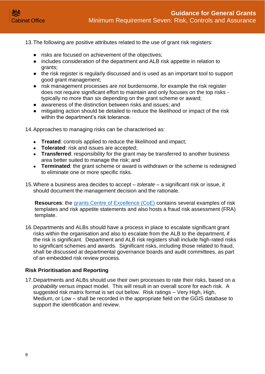- 13.The following are positive attributes related to the use of grant risk registers:
	- risks are focused on achievement of the objectives;
	- includes consideration of the department and ALB risk appetite in relation to grants;
	- the risk register is regularly discussed and is used as an important tool to support good grant management;
	- risk management processes are not burdensome, for example the risk register does not require significant effort to maintain and only focuses on the top risks typically no more than six depending on the grant scheme or award;
	- awareness of the distinction between risks and issues; and
	- mitigating action should be detailed to reduce the likelihood or impact of the risk within the department's risk tolerance.

14.Approaches to managing risks can be characterised as:

- **Treated:** controls applied to reduce the likelihood and impact;
- **Tolerated**: risk and issues are accepted;
- **Transferred:** responsibility for the grant may be transferred to another business area better suited to manage the risk; and
- **Terminated**: the grant scheme or award is withdrawn or the scheme is redesigned to eliminate one or more specific risks.
- 15.Where a business area decides to accept *tolerate* a significant risk or issue, it should document the management decision and the rationale.

**Resources**: the [grants Centre of Excellence \(CoE\)](https://gcoe.civilservice.gov.uk/) contains several examples of risk templates and risk appetite statements and also hosts a fraud risk assessment (FRA) template.

16.Departments and ALBs should have a process in place to escalate significant grant risks within the organisation and also to escalate from the ALB to the department, if the risk is significant. Department and ALB risk registers shall include high-rated risks to significant schemes and awards. Significant risks, including those related to fraud, shall be discussed at departmental governance boards and audit committees, as part of an embedded risk review process.

#### <span id="page-8-0"></span>**Risk Prioritisation and Reporting**

17.Departments and ALBs should use their own processes to rate their risks, based on a *probability versus impact* model. This will result in an overall score for each risk. A suggested risk matrix format is set out below. Risk ratings – Very High, High, Medium, or Low – shall be recorded in the appropriate field on the GGIS database to support the identification and review.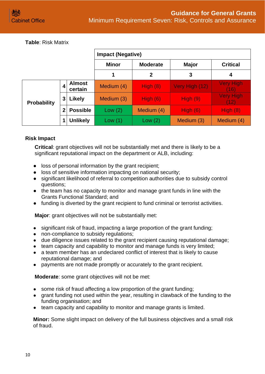#### **Table**: Risk Matrix

|                    |   |                          | <b>Impact (Negative)</b> |                 |                |                          |
|--------------------|---|--------------------------|--------------------------|-----------------|----------------|--------------------------|
|                    |   |                          | <b>Minor</b>             | <b>Moderate</b> | <b>Major</b>   | <b>Critical</b>          |
|                    |   |                          |                          | 2               | 3              | 4                        |
| <b>Probability</b> | 4 | <b>Almost</b><br>certain | Medium (4)               | High(8)         | Very High (12) | <b>Very High</b><br>(16) |
|                    | 3 | Likely                   | Medium (3)               | High(6)         | High(9)        | <b>Very High</b><br>(12) |
|                    | 2 | <b>Possible</b>          | Low $(2)$                | Medium (4)      | High(6)        | High(8)                  |
|                    |   | <b>Unlikely</b>          | Low(1)                   | Low $(2)$       | Medium (3)     | Medium (4)               |

#### **Risk Impact**

**Critical**: grant objectives will not be substantially met and there is likely to be a significant reputational impact on the department or ALB, including:

- loss of personal information by the grant recipient;
- loss of sensitive information impacting on national security;
- significant likelihood of referral to competition authorities due to subsidy control questions;
- the team has no capacity to monitor and manage grant funds in line with the Grants Functional Standard; and
- funding is diverted by the grant recipient to fund criminal or terrorist activities.

**Major**: grant objectives will not be substantially met:

- significant risk of fraud, impacting a large proportion of the grant funding;
- non-compliance to subsidy regulations;
- due diligence issues related to the grant recipient causing reputational damage;
- team capacity and capability to monitor and manage funds is very limited;
- a team member has an undeclared conflict of interest that is likely to cause reputational damage; and
- payments are not made promptly or accurately to the grant recipient.

**Moderate**: some grant objectives will not be met:

- some risk of fraud affecting a low proportion of the grant funding;
- grant funding not used within the year, resulting in clawback of the funding to the funding organisation; and
- team capacity and capability to monitor and manage grants is limited.

**Minor:** Some slight impact on delivery of the full business objectives and a small risk of fraud.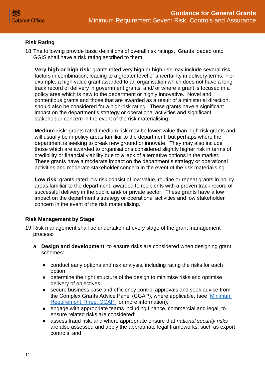#### <span id="page-10-0"></span>**Risk Rating**

18.The following provide basic definitions of overall risk ratings. Grants loaded onto GGIS shall have a risk rating ascribed to them.

**Very high or high risk**: grants rated very high or high risk may include several risk factors in combination, leading to a greater level of uncertainty in delivery terms. For example, a high value grant awarded to an organisation which does not have a long track record of delivery in government grants, and/ or where a grant is focused in a policy area which is new to the department or highly innovative. Novel and contentious grants and those that are awarded as a result of a ministerial direction, should also be considered for a high-risk rating. These grants have a significant impact on the department's strategy or operational activities and significant stakeholder concern in the event of the risk materialising.

**Medium risk**: grants rated medium risk may be lower value than high risk grants and will usually be in policy areas familiar to the department, but perhaps where the department is seeking to break new ground or innovate. They may also include those which are awarded to organisations considered slightly higher risk in terms of credibility or financial viability due to a lack of alternative options in the market. These grants have a moderate impact on the department's strategy or operational activities and moderate stakeholder concern in the event of the risk materialising.

**Low risk**: grants rated low risk consist of low value, routine or repeat grants in policy areas familiar to the department, awarded to recipients with a proven track record of successful delivery in the public and/ or private sector. These grants have a low impact on the department's strategy or operational activities and low stakeholder concern in the event of the risk materialising.

#### <span id="page-10-1"></span>**Risk Management by Stage**

- 19.Risk management shall be undertaken at every stage of the grant management process:
	- a. **Design and development**: to ensure risks are considered when designing grant schemes:
		- conduct early options and risk analysis, including rating the risks for each option;
		- determine the right structure of the design to minimise risks and optimise delivery of objectives;
		- secure business case and efficiency control approvals and seek advice from the Complex Grants Advice Panel (CGAP), where applicable, (see ['Minimum](https://assets.publishing.service.gov.uk/government/uploads/system/uploads/attachment_data/file/722197/Grants-Standard-THREE-NGAP.pdf)  [Requirement Three: CGAP'](https://assets.publishing.service.gov.uk/government/uploads/system/uploads/attachment_data/file/722197/Grants-Standard-THREE-NGAP.pdf) for more information);
		- engage with appropriate teams including finance, commercial and legal, to ensure related risks are considered;
		- assess fraud risk, and where appropriate ensure that *national security risks* are also assessed and apply the appropriate legal frameworks, such as export controls; and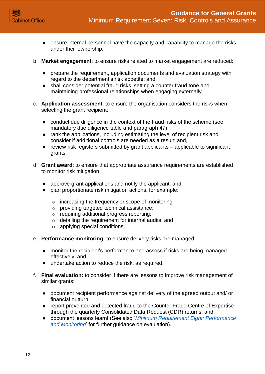- ensure internal personnel have the capacity and capability to manage the risks under their ownership.
- b. **Market engagement**: to ensure risks related to market engagement are reduced:
	- prepare the requirement, application documents and evaluation strategy with regard to the department's risk appetite; and
	- shall consider potential fraud risks, setting a counter fraud tone and maintaining professional relationships when engaging externally.
- c. **Application assessment**: to ensure the organisation considers the risks when selecting the grant recipient:
	- conduct due diligence in the context of the fraud risks of the scheme (see mandatory due diligence table and paragraph 47);
	- rank the applications, including estimating the level of recipient risk and consider if additional controls are needed as a result; and,
	- review risk registers submitted by grant applicants applicable to significant grants.
- d. **Grant award**: to ensure that appropriate assurance requirements are established to monitor risk mitigation:
	- approve grant applications and notify the applicant; and
	- plan proportionate risk mitigation actions, for example:
		- o increasing the frequency or scope of monitoring;
		- o providing targeted technical assistance;
		- o requiring additional progress reporting;
		- o detailing the requirement for internal audits; and
		- o applying special conditions.
- e. **Performance monitoring:** to ensure delivery risks are managed:
	- monitor the recipient's performance and assess if risks are being managed effectively; and
	- undertake action to reduce the risk, as required.
- f. **Final evaluation:** to consider if there are lessons to improve risk management of similar grants:
	- document recipient performance against delivery of the agreed output and/ or financial outturn;
	- report prevented and detected fraud to the Counter Fraud Centre of Expertise through the quarterly Consolidated Data Request (CDR) returns; and
	- document lessons learnt (See also '*[Minimum Requirement Eight: Performance](https://assets.publishing.service.gov.uk/government/uploads/system/uploads/attachment_data/file/722202/Grants-Standard-EIGHT-Performance-and-Monitoring.pdf)  [and Monitoring](https://assets.publishing.service.gov.uk/government/uploads/system/uploads/attachment_data/file/722202/Grants-Standard-EIGHT-Performance-and-Monitoring.pdf)*' for further guidance on evaluation).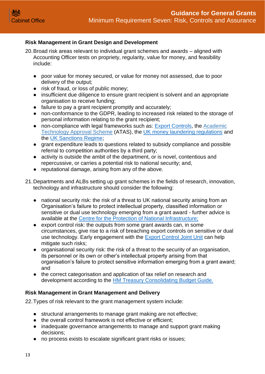#### <span id="page-12-0"></span>**Risk Management in Grant Design and Development**

- 20.Broad risk areas relevant to individual grant schemes and awards aligned with Accounting Officer tests on propriety, regularity, value for money, and feasibility include:
	- poor value for money secured, or value for money not assessed, due to poor delivery of the output;
	- risk of fraud, or loss of public money;
	- insufficient due diligence to ensure grant recipient is solvent and an appropriate organisation to receive funding;
	- failure to pay a grant recipient promptly and accurately;
	- non-conformance to the GDPR, leading to increased risk related to the storage of personal information relating to the grant recipient;
	- non-compliance with legal frameworks such as: [Export Controls,](https://www.gov.uk/government/organisations/export-control-organisation) the Academic [Technology Approval Scheme](https://www.gov.uk/guidance/academic-technology-approval-scheme) (ATAS), the [UK money laundering regulations](https://www.gov.uk/government/publications/money-laundering-and-terrorist-financing-amendment-regulations-2019) and the [UK Sanctions Regime;](https://www.gov.uk/guidance/uk-sanctions)
	- grant expenditure leads to questions related to subsidy compliance and possible referral to competition authorities by a third party;
	- activity is outside the ambit of the department, or is novel, contentious and repercussive, or carries a potential risk to national security; and,
	- reputational damage, arising from any of the above.
- 21.Departments and ALBs setting up grant schemes in the fields of research, innovation, technology and infrastructure should consider the following:
	- national security risk: the risk of a threat to UK national security arising from an Organisation's failure to protect intellectual property, classified information or sensitive or dual use technology emerging from a grant award - further advice is available at the [Centre for the Protection of National Infrastructure;](https://www.gov.uk/government/organisations/export-control-organisation)
	- export control risk: the outputs from some grant awards can, in some circumstances, give rise to a risk of breaching export controls on sensitive or dual use technology. Early engagement with the [Export Control Joint Unit](https://www.cpni.gov.uk/trusted-research-guidance-academia) can help mitigate such risks;
	- organisational security risk: the risk of a threat to the security of an organisation, its personnel or its own or other's intellectual property arising from that organisation's failure to protect sensitive information emerging from a grant award; and
	- the correct categorisation and application of tax relief on research and development according to the [HM Treasury Consolidating Budget Guide.](https://www.gov.uk/government/publications/consolidated-budgeting-guidance-2019-to-2020)

#### <span id="page-12-1"></span>**Risk Management in Grant Management and Delivery**

22.Types of risk relevant to the grant management system include:

- structural arrangements to manage grant making are not effective;
- the overall control framework is not effective or efficient:
- inadequate governance arrangements to manage and support grant making decisions;
- no process exists to escalate significant grant risks or issues: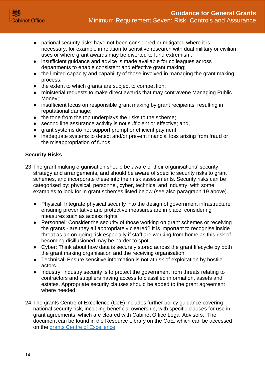- national security risks have not been considered or mitigated where it is necessary, for example in relation to sensitive research with dual military or civilian uses or where grant awards may be diverted to fund extremism;
- insufficient guidance and advice is made available for colleagues across departments to enable consistent and effective grant making;
- the limited capacity and capability of those involved in managing the grant making process;
- the extent to which grants are subject to competition;
- ministerial requests to make direct awards that may contravene Managing Public Money;
- insufficient focus on responsible grant making by grant recipients, resulting in reputational damage;
- the tone from the top underplays the risks to the scheme;
- second line assurance activity is not sufficient or effective; and,
- grant systems do not support prompt or efficient payment.
- inadequate systems to detect and/or prevent financial loss arising from fraud or the misappropriation of funds

#### <span id="page-13-0"></span>**Security Risks**

- 23.The grant making organisation should be aware of their organisations' security strategy and arrangements, and should be aware of specific security risks to grant schemes, and incorporate these into their risk assessments. Security risks can be categorised by: physical, personnel, cyber, technical and industry, with some examples to look for in grant schemes listed below (see also paragraph 19 above).
	- Physical: Integrate physical security into the design of government infrastructure ensuring preventative and protective measures are in place, considering measures such as access rights.
	- Personnel: Consider the security of those working on grant schemes or receiving the grants - are they all appropriately cleared? It is important to recognise inside threat as an on-going risk especially if staff are working from home as this risk of becoming disillusioned may be harder to spot.
	- Cyber: Think about how data is securely stored across the grant lifecycle by both the grant making organisation and the receiving organisation.
	- Technical: Ensure sensitive information is not at risk of exploitation by hostile actors.
	- Industry: Industry security is to protect the government from threats relating to contractors and suppliers having access to classified information, assets and estates. Appropriate security clauses should be added to the grant agreement where needed.
- 24.The grants Centre of Excellence (CoE) includes further policy guidance covering national security risk, including beneficial ownership, with specific clauses for use in grant agreements, which are cleared with Cabinet Office Legal Advisers. The document can be found in the Resource Library on the CoE, which can be accessed on the [grants Centre of Excellence](/Users/kirsty.brook/Downloads/grants%20Centre%20of%20Excellence).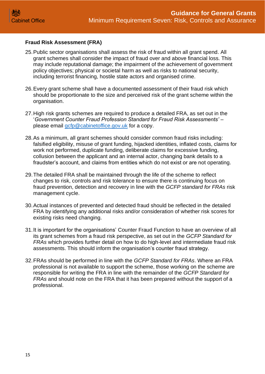#### <span id="page-14-0"></span>**Fraud Risk Assessment (FRA)**

- 25.Public sector organisations shall assess the risk of fraud within all grant spend. All grant schemes shall consider the impact of fraud over and above financial loss. This may include reputational damage; the impairment of the achievement of government policy objectives; physical or societal harm as well as risks to national security, including terrorist financing, hostile state actors and organised crime.
- 26.Every grant scheme shall have a documented assessment of their fraud risk which should be proportionate to the size and perceived risk of the grant scheme within the organisation.
- 27.High risk grants schemes are required to produce a detailed FRA, as set out in the '*Government Counter Fraud Profession Standard for Fraud Risk Assessments'* – please email [gcfp@cabinetoffice.gov.uk](mailto:gcfp@cabinetoffice.gov.uk) for a copy.
- 28.As a minimum, all grant schemes should consider common fraud risks including: falsified eligibility, misuse of grant funding, hijacked identities, inflated costs, claims for work not performed, duplicate funding, deliberate claims for excessive funding, collusion between the applicant and an internal actor, changing bank details to a fraudster's account, and claims from entities which do not exist or are not operating.
- 29.The detailed FRA shall be maintained through the life of the scheme to reflect changes to risk, controls and risk tolerance to ensure there is continuing focus on fraud prevention, detection and recovery in line with the *GCFP standard for FRAs* risk management cycle.
- 30.Actual instances of prevented and detected fraud should be reflected in the detailed FRA by identifying any additional risks and/or consideration of whether risk scores for existing risks need changing.
- 31.It is important for the organisations' Counter Fraud Function to have an overview of all its grant schemes from a fraud risk perspective, as set out in the *GCFP Standard for FRAs* which provides further detail on how to do high-level and intermediate fraud risk assessments. This should inform the organisation's counter fraud strategy.
- 32.FRAs should be performed in line with the *GCFP Standard for FRAs*. Where an FRA professional is not available to support the scheme, those working on the scheme are responsible for writing the FRA in line with the remainder of the *GCFP Standard for FRAs* and should note on the FRA that it has been prepared without the support of a professional.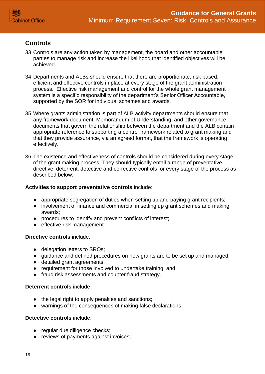## <span id="page-15-0"></span>**Controls**

- 33.Controls are any action taken by management, the board and other accountable parties to manage risk and increase the likelihood that identified objectives will be achieved.
- 34.Departments and ALBs should ensure that there are proportionate, risk based, efficient and effective controls in place at every stage of the grant administration process. Effective risk management and control for the whole grant management system is a specific responsibility of the department's Senior Officer Accountable, supported by the SOR for individual schemes and awards.
- 35.Where grants administration is part of ALB activity departments should ensure that any framework document, Memorandum of Understanding, and other governance documents that govern the relationship between the department and the ALB contain appropriate reference to supporting a control framework related to grant making and that they provide assurance, via an agreed format, that the framework is operating effectively.
- 36.The existence and effectiveness of controls should be considered during every stage of the grant making process. They should typically entail a range of preventative, directive, deterrent, detective and corrective controls for every stage of the process as described below:

#### **Activities to support preventative controls** include:

- appropriate segregation of duties when setting up and paying grant recipients;
- involvement of finance and commercial in setting up grant schemes and making awards;
- procedures to identify and prevent conflicts of interest;
- effective risk management.

#### **Directive controls** include:

- delegation letters to SROs;
- quidance and defined procedures on how grants are to be set up and managed:
- detailed grant agreements;
- requirement for those involved to undertake training; and
- fraud risk assessments and counter fraud strategy.

#### **Deterrent controls** include**:**

- the legal right to apply penalties and sanctions;
- warnings of the consequences of making false declarations.

#### **Detective controls** include:

- regular due diligence checks;
- reviews of payments against invoices;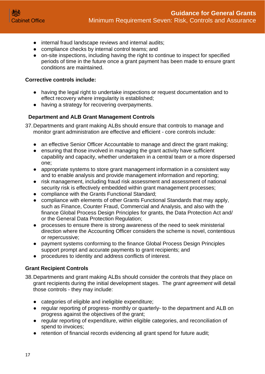- internal fraud landscape reviews and internal audits;
- compliance checks by internal control teams; and
- on-site inspections, including having the right to continue to inspect for specified periods of time in the future once a grant payment has been made to ensure grant conditions are maintained.

#### **Corrective controls include:**

- having the legal right to undertake inspections or request documentation and to effect recovery where irregularity is established;
- having a strategy for recovering overpayments.

#### <span id="page-16-0"></span>**Department and ALB Grant Management Controls**

- 37.Departments and grant making ALBs should ensure that controls to manage and monitor grant administration are effective and efficient - core controls include:
	- an effective Senior Officer Accountable to manage and direct the grant making;
	- ensuring that those involved in managing the grant activity have sufficient capability and capacity, whether undertaken in a central team or a more dispersed one;
	- appropriate systems to store grant management information in a consistent way and to enable analysis and provide management information and reporting;
	- risk management, including fraud risk assessment and assessment of national security risk is effectively embedded within grant management processes;
	- compliance with the Grants Functional Standard:
	- compliance with elements of other Grants Functional Standards that may apply, such as Finance, Counter Fraud, Commercial and Analysis, and also with the finance Global Process Design Principles for grants, the Data Protection Act and/ or the General Data Protection Regulation;
	- processes to ensure there is strong awareness of the need to seek ministerial direction where the Accounting Officer considers the scheme is novel, contentious or repercussive;
	- payment systems conforming to the finance Global Process Design Principles support prompt and accurate payments to grant recipients; and
	- procedures to identity and address conflicts of interest.

## <span id="page-16-1"></span>**Grant Recipient Controls**

- 38.Departments and grant making ALBs should consider the controls that they place on grant recipients during the initial development stages. The *grant agreement* will detail those controls - they may include:
	- categories of eligible and ineligible expenditure;
	- regular reporting of progress- monthly or quarterly- to the department and ALB on progress against the objectives of the grant;
	- regular reporting of expenditure, within eligible categories, and reconciliation of spend to invoices;
	- retention of financial records evidencing all grant spend for future audit;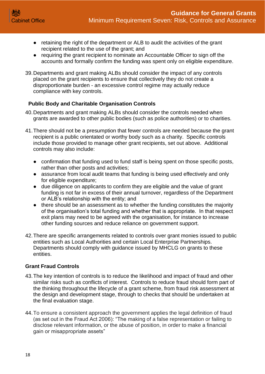- retaining the right of the department or ALB to audit the activities of the grant recipient related to the use of the grant; and
- requiring the grant recipient to nominate an Accountable Officer to sign off the accounts and formally confirm the funding was spent only on eligible expenditure.
- 39.Departments and grant making ALBs should consider the impact of any controls placed on the grant recipients to ensure that collectively they do not create a disproportionate burden - an excessive control regime may actually reduce compliance with key controls.

#### <span id="page-17-0"></span>**Public Body and Charitable Organisation Controls**

- 40.Departments and grant making ALBs should consider the controls needed when grants are awarded to other public bodies (such as police authorities) or to charities.
- 41.There should not be a presumption that fewer controls are needed because the grant recipient is a public orientated or worthy body such as a charity. Specific controls include those provided to manage other grant recipients, set out above. Additional controls may also include:
	- confirmation that funding used to fund staff is being spent on those specific posts, rather than other posts and activities;
	- assurance from local audit teams that funding is being used effectively and only for eligible expenditure;
	- due diligence on applicants to confirm they are eligible and the value of grant funding is not far in excess of their annual turnover, regardless of the Department or ALB's relationship with the entity; and
	- there should be an assessment as to whether the funding constitutes the majority of the organisation's total funding and whether that is appropriate. In that respect exit plans may need to be agreed with the organisation, for instance to increase other funding sources and reduce reliance on government support.
- 42.There are specific arrangements related to controls over grant monies issued to public entities such as Local Authorities and certain Local Enterprise Partnerships. Departments should comply with guidance issued by MHCLG on grants to these entities.

#### <span id="page-17-1"></span>**Grant Fraud Controls**

- 43.The key intention of controls is to reduce the likelihood and impact of fraud and other similar risks such as conflicts of interest. Controls to reduce fraud should form part of the thinking throughout the lifecycle of a grant scheme, from fraud risk assessment at the design and development stage, through to checks that should be undertaken at the final evaluation stage.
- 44.To ensure a consistent approach the government applies the legal definition of fraud (as set out in the Fraud Act 2006): "The making of a false representation or failing to disclose relevant information, or the abuse of position, in order to make a financial gain or misappropriate assets"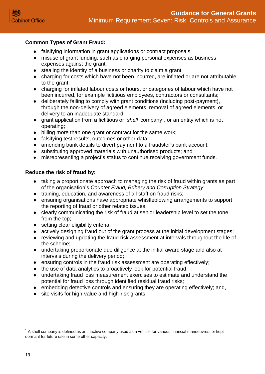#### **Common Types of Grant Fraud:**

- falsifying information in grant applications or contract proposals;
- misuse of grant funding, such as charging personal expenses as business expenses against the grant;
- stealing the identity of a business or charity to claim a grant;
- charging for costs which have not been incurred, are inflated or are not attributable to the grant;
- charging for inflated labour costs or hours, or categories of labour which have not been incurred, for example fictitious employees, contractors or consultants;
- deliberately failing to comply with grant conditions (including post-payment), through the non-delivery of agreed elements, removal of agreed elements, or delivery to an inadequate standard;
- grant application from a fictitious or 'shell' company<sup>1</sup>, or an entity which is not operating;
- billing more than one grant or contract for the same work;
- falsifying test results, outcomes or other data;
- amending bank details to divert payment to a fraudster's bank account;
- substituting approved materials with unauthorised products; and
- misrepresenting a project's status to continue receiving government funds.

#### **Reduce the risk of fraud by:**

- taking a proportionate approach to managing the risk of fraud within grants as part of the organisation's *Counter Fraud, Bribery and Corruption Strategy*;
- training, education, and awareness of all staff on fraud risks;
- ensuring organisations have appropriate whistleblowing arrangements to support the reporting of fraud or other related issues;
- clearly communicating the risk of fraud at senior leadership level to set the tone from the top;
- setting clear eligibility criteria;
- actively designing fraud out of the grant process at the initial development stages;
- reviewing and updating the fraud risk assessment at intervals throughout the life of the scheme;
- undertaking proportionate due diligence at the initial award stage and also at intervals during the delivery period;
- ensuring controls in the fraud risk assessment are operating effectively;
- the use of data analytics to proactively look for potential fraud;
- undertaking fraud loss measurement exercises to estimate and understand the potential for fraud loss through identified residual fraud risks;
- embedding detective controls and ensuring they are operating effectively; and,
- site visits for high-value and high-risk grants.

 $1$  A shell company is defined as an inactive company used as a vehicle for various financial manoeuvres, or kept dormant for future use in some other capacity.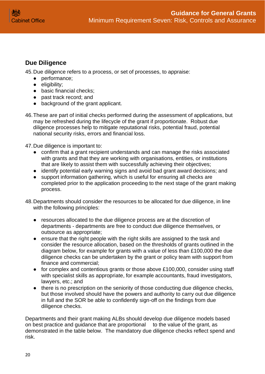## <span id="page-19-0"></span>**Due Diligence**

45.Due diligence refers to a process, or set of processes, to appraise:

- performance;
- eligibility;
- basic financial checks:
- past track record; and
- background of the grant applicant.
- 46.These are part of initial checks performed during the assessment of applications, but may be refreshed during the lifecycle of the grant if proportionate. Robust due diligence processes help to mitigate reputational risks, potential fraud, potential national security risks, errors and financial loss.

47.Due diligence is important to:

- confirm that a grant recipient understands and can manage the risks associated with grants and that they are working with organisations, entities, or institutions that are likely to assist them with successfully achieving their objectives;
- identify potential early warning signs and avoid bad grant award decisions; and
- support information gathering, which is useful for ensuring all checks are completed prior to the application proceeding to the next stage of the grant making process.
- 48.Departments should consider the resources to be allocated for due diligence, in line with the following principles:
	- resources allocated to the due diligence process are at the discretion of departments - departments are free to conduct due diligence themselves, or outsource as appropriate;
	- ensure that the right people with the right skills are assigned to the task and consider the resource allocation, based on the thresholds of grants outlined in the diagram below, for example for grants with a value of less than £100,000 the due diligence checks can be undertaken by the grant or policy team with support from finance and commercial;
	- for complex and contentious grants or those above £100,000, consider using staff with specialist skills as appropriate, for example accountants, fraud investigators, lawyers, etc.; and
	- there is no prescription on the seniority of those conducting due diligence checks, but those involved should have the powers and authority to carry out due diligence in full and the SOR be able to confidently sign-off on the findings from due diligence checks.

Departments and their grant making ALBs should develop due diligence models based on best practice and guidance that are proportional to the value of the grant, as demonstrated in the table below. The mandatory due diligence checks reflect spend and risk.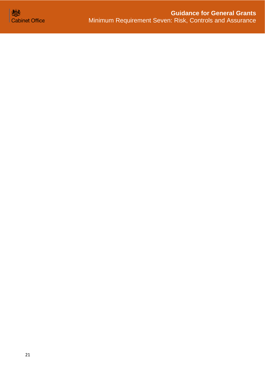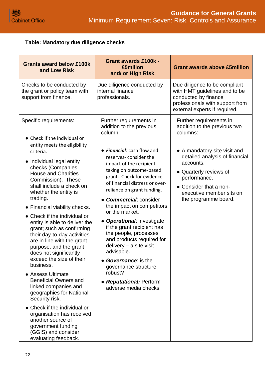## <span id="page-21-0"></span>**Table: Mandatory due diligence checks**

| <b>Grants award below £100k</b><br>and Low Risk                                                                                                                                                                                                                                                                                                                                                                                                                                                                                                                                                                                                                                                                                                                                                                                                       | <b>Grant awards £100k -</b><br>£5milion<br>and/ or High Risk                                                                                                                                                                                                                                                                                                                                                                                                                                                                                                                                                                                                   | <b>Grant awards above £5million</b>                                                                                                                                                                                                                                        |
|-------------------------------------------------------------------------------------------------------------------------------------------------------------------------------------------------------------------------------------------------------------------------------------------------------------------------------------------------------------------------------------------------------------------------------------------------------------------------------------------------------------------------------------------------------------------------------------------------------------------------------------------------------------------------------------------------------------------------------------------------------------------------------------------------------------------------------------------------------|----------------------------------------------------------------------------------------------------------------------------------------------------------------------------------------------------------------------------------------------------------------------------------------------------------------------------------------------------------------------------------------------------------------------------------------------------------------------------------------------------------------------------------------------------------------------------------------------------------------------------------------------------------------|----------------------------------------------------------------------------------------------------------------------------------------------------------------------------------------------------------------------------------------------------------------------------|
| Checks to be conducted by<br>the grant or policy team with<br>support from finance.                                                                                                                                                                                                                                                                                                                                                                                                                                                                                                                                                                                                                                                                                                                                                                   | Due diligence conducted by<br>internal finance<br>professionals.                                                                                                                                                                                                                                                                                                                                                                                                                                                                                                                                                                                               | Due diligence to be compliant<br>with HMT guidelines and to be<br>conducted by finance<br>professionals with support from<br>external experts if required.                                                                                                                 |
| Specific requirements:<br>• Check if the individual or<br>entity meets the eligibility<br>criteria.<br>• Individual legal entity<br>checks (Companies<br><b>House and Charities</b><br>Commission). These<br>shall include a check on<br>whether the entity is<br>trading.<br>• Financial viability checks.<br>• Check if the individual or<br>entity is able to deliver the<br>grant; such as confirming<br>their day-to-day activities<br>are in line with the grant<br>purpose, and the grant<br>does not significantly<br>exceed the size of their<br>business.<br>• Assess Ultimate<br><b>Beneficial Owners and</b><br>linked companies and<br>geographies for National<br>Security risk.<br>• Check if the individual or<br>organisation has received<br>another source of<br>government funding<br>(GGIS) and consider<br>evaluating feedback. | Further requirements in<br>addition to the previous<br>column:<br>• Financial: cash flow and<br>reserves-consider the<br>impact of the recipient<br>taking on outcome-based<br>grant. Check for evidence<br>of financial distress or over-<br>reliance on grant funding.<br><b>Commercial: consider</b><br>$\bullet$<br>the impact on competitors<br>or the market.<br><b>Operational:</b> investigate<br>$\bullet$<br>if the grant recipient has<br>the people, processes<br>and products required for<br>delivery - a site visit<br>advisable.<br>• Governance: is the<br>governance structure<br>robust?<br>• Reputational: Perform<br>adverse media checks | Further requirements in<br>addition to the previous two<br>columns:<br>• A mandatory site visit and<br>detailed analysis of financial<br>accounts.<br>• Quarterly reviews of<br>performance.<br>• Consider that a non-<br>executive member sits on<br>the programme board. |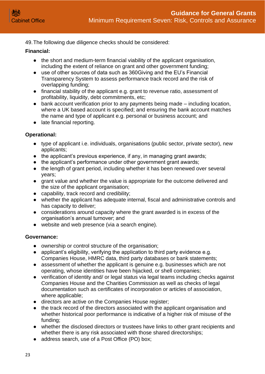49.The following due diligence checks should be considered:

#### **Financial:**

- the short and medium-term financial viability of the applicant organisation, including the extent of reliance on grant and other government funding;
- use of other sources of data such as 360Giving and the EU's Financial Transparency System to assess performance track record and the risk of overlapping funding;
- financial stability of the applicant e.g. grant to revenue ratio, assessment of profitability, liquidity, debt commitments, etc;
- bank account verification prior to any payments being made including location, where a UK based account is specified; and ensuring the bank account matches the name and type of applicant e.g. personal or business account; and
- late financial reporting.

#### **Operational:**

- type of applicant i.e. individuals, organisations (public sector, private sector), new applicants;
- the applicant's previous experience, if any, in managing grant awards;
- the applicant's performance under other government grant awards;
- the length of grant period, including whether it has been renewed over several years;
- grant value and whether the value is appropriate for the outcome delivered and the size of the applicant organisation;
- capability, track record and credibility;
- whether the applicant has adequate internal, fiscal and administrative controls and has capacity to deliver;
- considerations around capacity where the grant awarded is in excess of the organisation's annual turnover; and
- website and web presence (via a search engine).

#### **Governance:**

- ownership or control structure of the organisation;
- applicant's eligibility, verifying the application to third party evidence e.g. Companies House, HMRC data, third party databases or bank statements;
- assessment of whether the applicant is genuine e.g. businesses which are not operating, whose identities have been hijacked, or shell companies;
- verification of identity and/ or legal status via legal teams including checks against Companies House and the Charities Commission as well as checks of legal documentation such as certificates of incorporation or articles of association, where applicable;
- directors are active on the Companies House register;
- the track record of the directors associated with the applicant organisation and whether historical poor performance is indicative of a higher risk of misuse of the funding;
- whether the disclosed directors or trustees have links to other grant recipients and whether there is any risk associated with those shared directorships;
- address search, use of a Post Office (PO) box: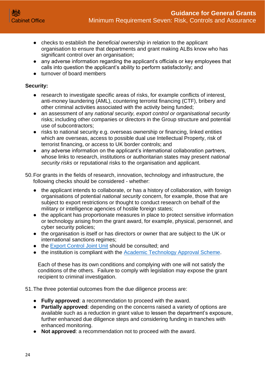- checks to establish the *beneficial ownership* in relation to the applicant organisation to ensure that departments and grant making ALBs know who has significant control over an organisation;
- any adverse information regarding the applicant's officials or key employees that calls into question the applicant's ability to perform satisfactorily; and
- turnover of board members

#### **Security:**

- research to investigate specific areas of risks, for example conflicts of interest, anti-money laundering (AML), countering terrorist financing (CTF), bribery and other criminal activities associated with the activity being funded;
- an assessment of any *national security, export control or organisational security* risks; including other companies or directors in the Group structure and potential use of subcontractors;
- risks to national security e.g. overseas ownership or financing, linked entities which are overseas, access to possible dual use Intellectual Property, risk of terrorist financing, or access to UK border controls; and
- any adverse information on the applicant's international collaboration partners, whose links to research, institutions or authoritarian states may present *national security risks* or reputational risks to the organisation and applicant.
- 50.For grants in the fields of research, innovation, technology and infrastructure, the following checks should be considered - whether:
	- the applicant intends to collaborate, or has a history of collaboration, with foreign organisations of potential *national security* concern, for example, those that are subject to export restrictions or thought to conduct research on behalf of the military or intelligence agencies of hostile foreign states;
	- the applicant has proportionate measures in place to protect sensitive information or technology arising from the grant award, for example, physical, personnel, and cyber security policies;
	- the organisation is itself or has directors or owner that are subject to the UK or international sanctions regimes;
	- the [Export Control Joint Unit](https://www.gov.uk/government/organisations/export-control-organisation) should be consulted; and
	- the institution is compliant with the [Academic Technology Approval Scheme.](https://www.gov.uk/guidance/academic-technology-approval-scheme)

Each of these has its own conditions and complying with one will not satisfy the conditions of the others. Failure to comply with legislation may expose the grant recipient to criminal investigation.

51.The three potential outcomes from the due diligence process are:

- **Fully approved**: a recommendation to proceed with the award.
- **Partially approved**: depending on the concerns raised a variety of options are available such as a reduction in grant value to lessen the department's exposure, further enhanced due diligence steps and considering funding in tranches with enhanced monitoring.
- **Not approved**: a recommendation not to proceed with the award.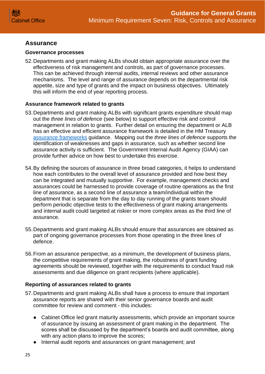## <span id="page-24-0"></span>**Assurance**

#### <span id="page-24-1"></span>**Governance processes**

52.Departments and grant making ALBs should obtain appropriate assurance over the effectiveness of risk management and controls, as part of governance processes. This can be achieved through internal audits, internal reviews and other assurance mechanisms. The level and range of assurance depends on the departmental risk appetite, size and type of grants and the impact on business objectives. Ultimately this will inform the end of year reporting process.

#### <span id="page-24-2"></span>**Assurance framework related to grants**

- 53.Departments and grant making ALBs with significant grants expenditure should map out the *three lines of defence* (see below) to support effective risk and control management in relation to grants. Further detail on ensuring the department or ALB has an effective and efficient assurance framework is detailed in the HM Treasury [assurance frameworks](https://www.gov.uk/government/publications/assurance-frameworks-guidance) guidance. Mapping out the *three lines of defence* supports the identification of weaknesses and gaps in assurance, such as whether second line assurance activity is sufficient. The Government Internal Audit Agency (GIAA) can provide further advice on how best to undertake this exercise.
- 54.By defining the sources of assurance in three broad categories, it helps to understand how each contributes to the overall level of assurance provided and how best they can be integrated and mutually supportive. For example, management checks and assurances could be harnessed to provide coverage of routine operations as the first line of assurance, as a second line of assurance a team/individual within the department that is separate from the day to day running of the grants team should perform periodic objective tests to the effectiveness of grant making arrangements and internal audit could targeted at riskier or more complex areas as the third line of assurance.
- 55.Departments and grant making ALBs should ensure that assurances are obtained as part of ongoing governance processes from those operating in the three lines of defence.
- 56.From an assurance perspective, as a minimum, the development of business plans, the competitive requirements of grant making, the robustness of grant funding agreements should be reviewed, together with the requirements to conduct fraud risk assessments and due diligence on grant recipients (where applicable).

#### <span id="page-24-3"></span>**Reporting of assurances related to grants**

- 57.Departments and grant making ALBs shall have a process to ensure that important assurance reports are shared with their senior governance boards and audit committee for review and comment - this includes:
	- Cabinet Office led grant maturity assessments, which provide an important source of assurance by issuing an assessment of grant making in the department. The scores shall be discussed by the department's boards and audit committee, along with any action plans to improve the scores;
	- Internal audit reports and assurances on grant management; and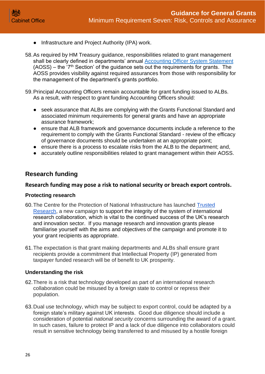- Infrastructure and Project Authority (IPA) work.
- 58.As required by HM Treasury guidance, responsibilities related to grant management shall be clearly defined in departments' annual [Accounting Officer System Statement](https://www.gov.uk/government/publications/accounting-officer-system-statements)  $(AOSS)$  – the '7<sup>th</sup> Section' of the guidance sets out the requirements for grants. The AOSS provides visibility against required assurances from those with responsibility for the management of the department's grants portfolio.
- 59.Principal Accounting Officers remain accountable for grant funding issued to ALBs. As a result, with respect to grant funding Accounting Officers should:
	- seek assurance that ALBs are complying with the Grants Functional Standard and associated minimum requirements for general grants and have an appropriate assurance framework;
	- ensure that ALB framework and governance documents include a reference to the requirement to comply with the Grants Functional Standard - review of the efficacy of governance documents should be undertaken at an appropriate point;
	- ensure there is a process to escalate risks from the ALB to the department; and,
	- accurately outline responsibilities related to grant management within their AOSS.

## <span id="page-25-0"></span>**Research funding**

#### **Research funding may pose a risk to national security or breach export controls.**

#### **Protecting research**

- 60.The Centre for the Protection of National Infrastructure has launched [Trusted](https://www.cpni.gov.uk/trusted-research-guidance)  [Research,](https://www.cpni.gov.uk/trusted-research-guidance) a new campaign to support the integrity of the system of international research collaboration, which is vital to the continued success of the UK's research and innovation sector. If you manage research and innovation grants please familiarise yourself with the aims and objectives of the campaign and promote it to your grant recipients as appropriate.
- 61.The expectation is that grant making departments and ALBs shall ensure grant recipients provide a commitment that Intellectual Property (IP) generated from taxpayer funded research will be of benefit to UK prosperity.

#### **Understanding the risk**

- 62.There is a risk that technology developed as part of an international research collaboration could be misused by a foreign state to control or repress their population.
- 63.Dual use technology, which may be subject to export control, could be adapted by a foreign state's military against UK interests. Good due diligence should include a consideration of potential *national security* concerns surrounding the award of a grant. In such cases, failure to protect IP and a lack of due diligence into collaborators could result in sensitive technology being transferred to and misused by a hostile foreign